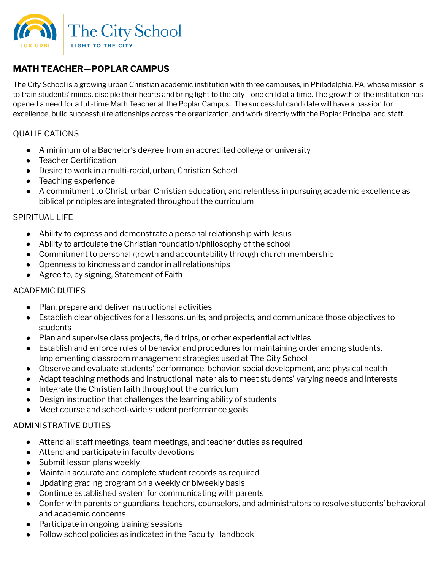

# **MATH TEACHER—POPLAR CAMPUS**

The City School is a growing urban Christian academic institution with three campuses, in Philadelphia, PA, whose mission is to train students' minds, disciple their hearts and bring light to the city—one child at a time. The growth of the institution has opened a need for a full-time Math Teacher at the Poplar Campus. The successful candidate will have a passion for excellence, build successful relationships across the organization, and work directly with the Poplar Principal and staff.

## QUALIFICATIONS

- A minimum of a Bachelor's degree from an accredited college or university
- Teacher Certification
- Desire to work in a multi-racial, urban, Christian School
- Teaching experience
- A commitment to Christ, urban Christian education, and relentless in pursuing academic excellence as biblical principles are integrated throughout the curriculum

#### SPIRITUAL LIFE

- Ability to express and demonstrate a personal relationship with Jesus
- Ability to articulate the Christian foundation/philosophy of the school
- Commitment to personal growth and accountability through church membership
- Openness to kindness and candor in all relationships
- Agree to, by signing, Statement of Faith

## ACADEMIC DUTIES

- Plan, prepare and deliver instructional activities
- Establish clear objectives for all lessons, units, and projects, and communicate those objectives to students
- Plan and supervise class projects, field trips, or other experiential activities
- Establish and enforce rules of behavior and procedures for maintaining order among students. Implementing classroom management strategies used at The City School
- Observe and evaluate students' performance, behavior, social development, and physical health
- Adapt teaching methods and instructional materials to meet students' varying needs and interests
- Integrate the Christian faith throughout the curriculum
- Design instruction that challenges the learning ability of students
- Meet course and school-wide student performance goals

## ADMINISTRATIVE DUTIES

- Attend all staff meetings, team meetings, and teacher duties as required
- Attend and participate in faculty devotions
- Submit lesson plans weekly
- Maintain accurate and complete student records as required
- Updating grading program on a weekly or biweekly basis
- Continue established system for communicating with parents
- Confer with parents or guardians, teachers, counselors, and administrators to resolve students' behavioral and academic concerns
- Participate in ongoing training sessions
- Follow school policies as indicated in the Faculty Handbook